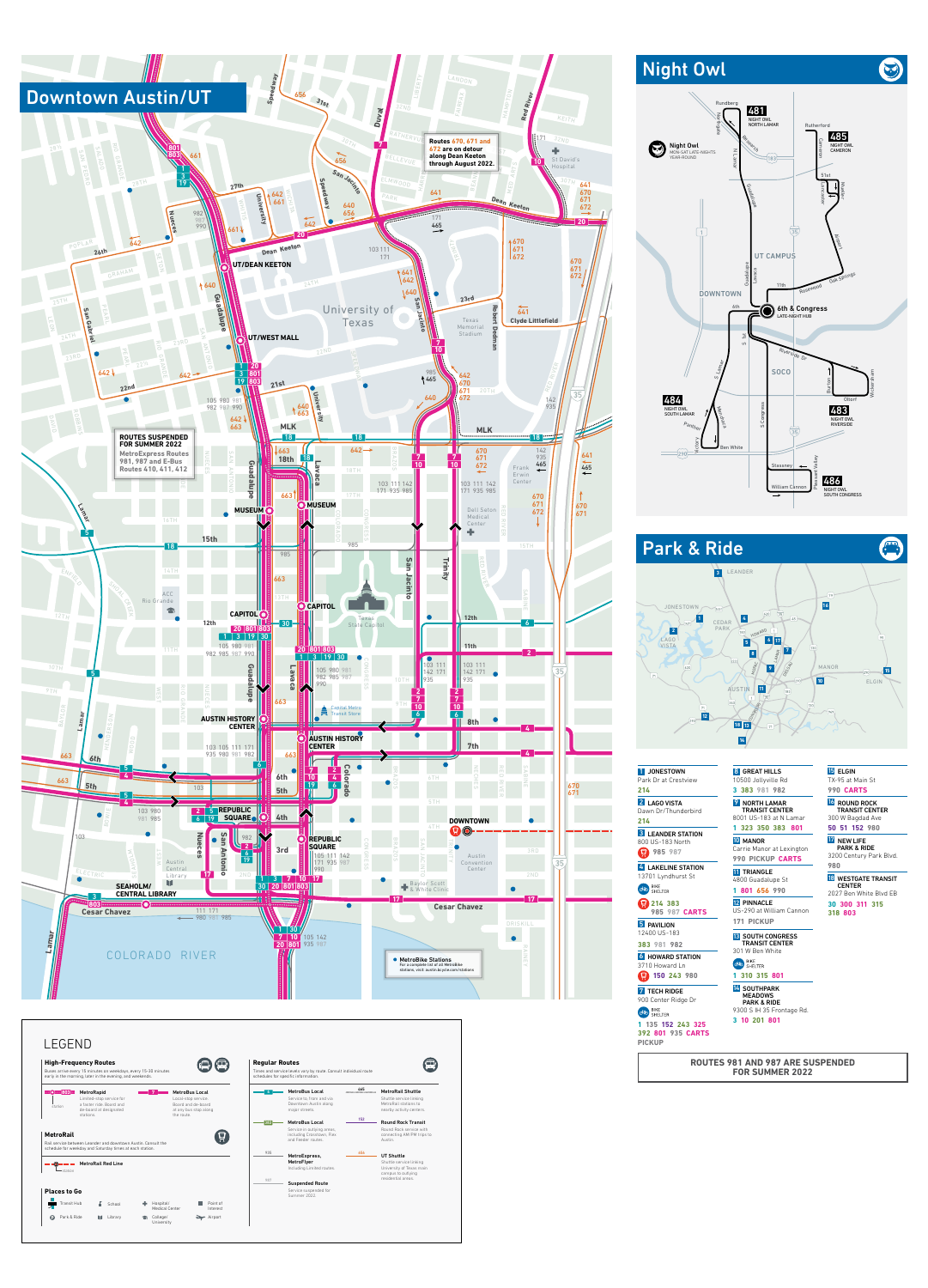

| 1 JONESTOWN<br>Park Dr at Crestview        | 8 GRI<br>10500                    |
|--------------------------------------------|-----------------------------------|
| 214                                        | 3 383                             |
| 2 LAGO VISTA<br>Dawn Dr/Thunderbird<br>214 | <b>NO</b><br><b>TRA</b><br>8001 L |
| <b>3</b> LEANDER STATION                   | 1 323                             |
| 800 US-183 North<br>985 987                | <b>10 MA</b><br>Carrie            |
|                                            | 990 F                             |
| 4 LAKELINE STATION<br>13701 Lyndhurst St   | <b>11 TRI</b><br>4800 G           |
| <b>BIKE</b><br>ශ්ල<br><b>SHELTER</b>       | 801                               |
| 214 383<br><b>985 987 CARTS</b>            | <b>12 PIN</b><br>US-29(           |
| <b>PAVILION</b>                            |                                   |
| 12400 US-183                               | <b>13 SOI</b>                     |